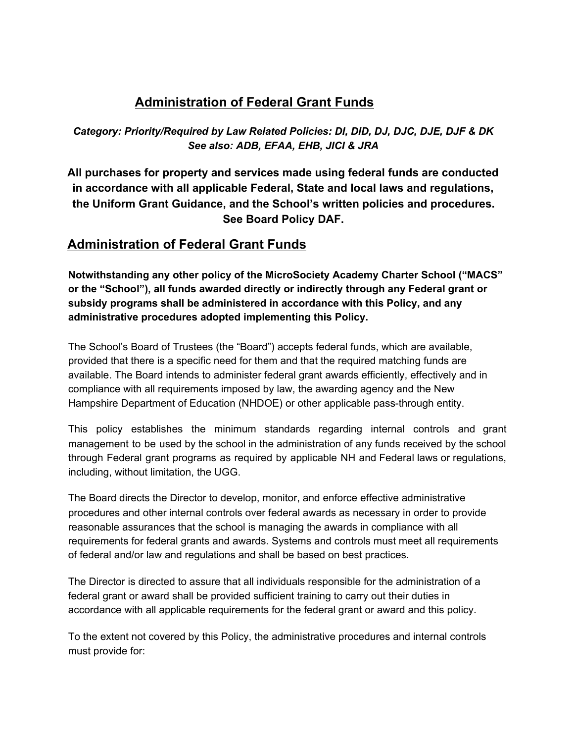# **Administration of Federal Grant Funds**

*Category: Priority/Required by Law Related Policies: DI, DID, DJ, DJC, DJE, DJF & DK See also: ADB, EFAA, EHB, JICI & JRA*

**All purchases for property and services made using federal funds are conducted in accordance with all applicable Federal, State and local laws and regulations, the Uniform Grant Guidance, and the School's written policies and procedures. See Board Policy DAF.**

# **Administration of Federal Grant Funds**

**Notwithstanding any other policy of the MicroSociety Academy Charter School ("MACS" or the "School"), all funds awarded directly or indirectly through any Federal grant or subsidy programs shall be administered in accordance with this Policy, and any administrative procedures adopted implementing this Policy.**

The School's Board of Trustees (the "Board") accepts federal funds, which are available, provided that there is a specific need for them and that the required matching funds are available. The Board intends to administer federal grant awards efficiently, effectively and in compliance with all requirements imposed by law, the awarding agency and the New Hampshire Department of Education (NHDOE) or other applicable pass-through entity.

This policy establishes the minimum standards regarding internal controls and grant management to be used by the school in the administration of any funds received by the school through Federal grant programs as required by applicable NH and Federal laws or regulations, including, without limitation, the UGG.

The Board directs the Director to develop, monitor, and enforce effective administrative procedures and other internal controls over federal awards as necessary in order to provide reasonable assurances that the school is managing the awards in compliance with all requirements for federal grants and awards. Systems and controls must meet all requirements of federal and/or law and regulations and shall be based on best practices.

The Director is directed to assure that all individuals responsible for the administration of a federal grant or award shall be provided sufficient training to carry out their duties in accordance with all applicable requirements for the federal grant or award and this policy.

To the extent not covered by this Policy, the administrative procedures and internal controls must provide for: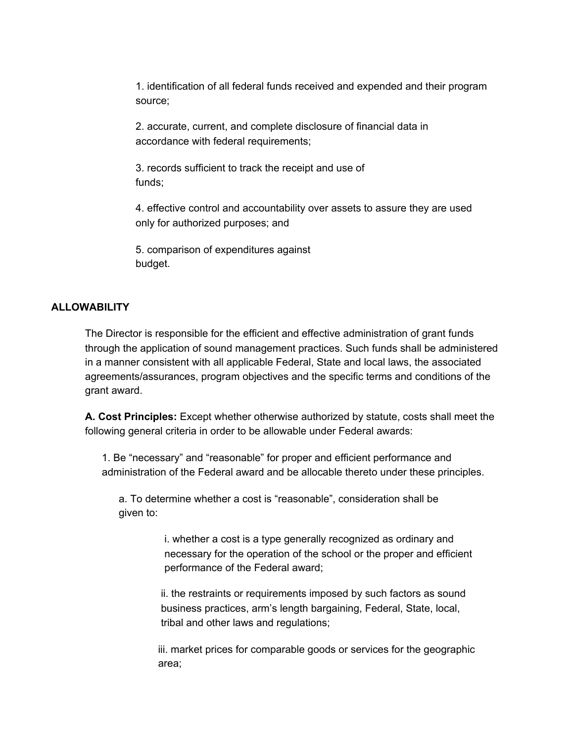1. identification of all federal funds received and expended and their program source;

2. accurate, current, and complete disclosure of financial data in accordance with federal requirements;

3. records sufficient to track the receipt and use of funds;

4. effective control and accountability over assets to assure they are used only for authorized purposes; and

5. comparison of expenditures against budget.

### **ALLOWABILITY**

The Director is responsible for the efficient and effective administration of grant funds through the application of sound management practices. Such funds shall be administered in a manner consistent with all applicable Federal, State and local laws, the associated agreements/assurances, program objectives and the specific terms and conditions of the grant award.

**A. Cost Principles:** Except whether otherwise authorized by statute, costs shall meet the following general criteria in order to be allowable under Federal awards:

1. Be "necessary" and "reasonable" for proper and efficient performance and administration of the Federal award and be allocable thereto under these principles.

a. To determine whether a cost is "reasonable", consideration shall be given to:

> i. whether a cost is a type generally recognized as ordinary and necessary for the operation of the school or the proper and efficient performance of the Federal award;

ii. the restraints or requirements imposed by such factors as sound business practices, arm's length bargaining, Federal, State, local, tribal and other laws and regulations;

iii. market prices for comparable goods or services for the geographic area;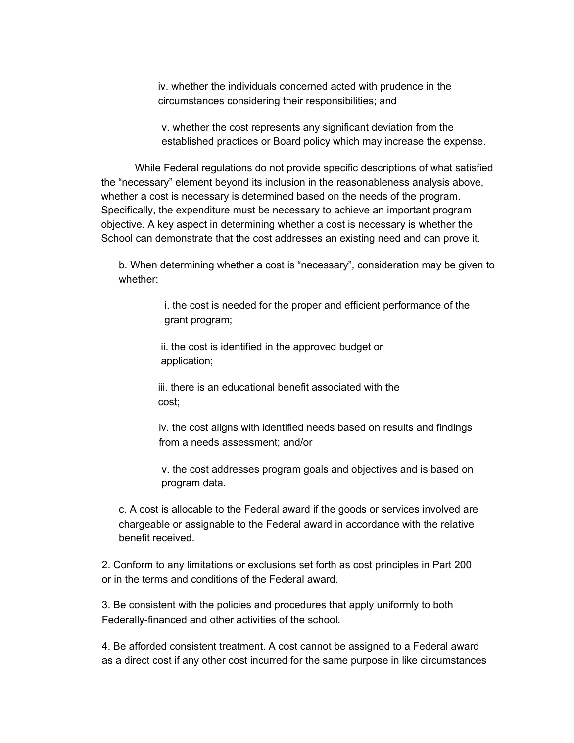iv. whether the individuals concerned acted with prudence in the circumstances considering their responsibilities; and

v. whether the cost represents any significant deviation from the established practices or Board policy which may increase the expense.

While Federal regulations do not provide specific descriptions of what satisfied the "necessary" element beyond its inclusion in the reasonableness analysis above, whether a cost is necessary is determined based on the needs of the program. Specifically, the expenditure must be necessary to achieve an important program objective. A key aspect in determining whether a cost is necessary is whether the School can demonstrate that the cost addresses an existing need and can prove it.

b. When determining whether a cost is "necessary", consideration may be given to whether:

> i. the cost is needed for the proper and efficient performance of the grant program;

ii. the cost is identified in the approved budget or application;

iii. there is an educational benefit associated with the cost;

iv. the cost aligns with identified needs based on results and findings from a needs assessment; and/or

v. the cost addresses program goals and objectives and is based on program data.

c. A cost is allocable to the Federal award if the goods or services involved are chargeable or assignable to the Federal award in accordance with the relative benefit received.

2. Conform to any limitations or exclusions set forth as cost principles in Part 200 or in the terms and conditions of the Federal award.

3. Be consistent with the policies and procedures that apply uniformly to both Federally-financed and other activities of the school.

4. Be afforded consistent treatment. A cost cannot be assigned to a Federal award as a direct cost if any other cost incurred for the same purpose in like circumstances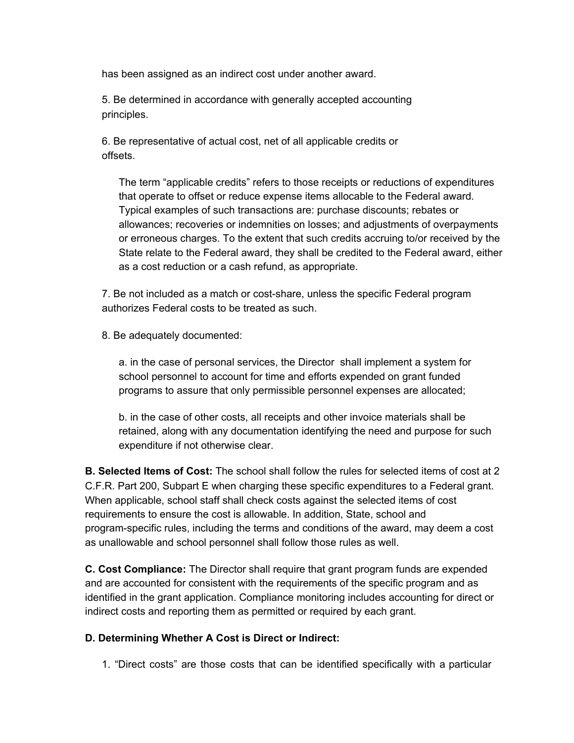has been assigned as an indirect cost under another award.

5. Be determined in accordance with generally accepted accounting principles.

6. Be representative of actual cost, net of all applicable credits or offsets.

The term "applicable credits" refers to those receipts or reductions of expenditures that operate to offset or reduce expense items allocable to the Federal award. Typical examples of such transactions are: purchase discounts; rebates or allowances; recoveries or indemnities on losses; and adjustments of overpayments or erroneous charges. To the extent that such credits accruing to/or received by the State relate to the Federal award, they shall be credited to the Federal award, either as a cost reduction or a cash refund, as appropriate.

7. Be not included as a match or cost-share, unless the specific Federal program authorizes Federal costs to be treated as such.

8. Be adequately documented:

a. in the case of personal services, the Director shall implement a system for school personnel to account for time and efforts expended on grant funded programs to assure that only permissible personnel expenses are allocated;

b. in the case of other costs, all receipts and other invoice materials shall be retained, along with any documentation identifying the need and purpose for such expenditure if not otherwise clear.

**B. Selected Items of Cost:** The school shall follow the rules for selected items of cost at 2 C.F.R. Part 200, Subpart E when charging these specific expenditures to a Federal grant. When applicable, school staff shall check costs against the selected items of cost requirements to ensure the cost is allowable. In addition, State, school and program-specific rules, including the terms and conditions of the award, may deem a cost as unallowable and school personnel shall follow those rules as well.

**C. Cost Compliance:** The Director shall require that grant program funds are expended and are accounted for consistent with the requirements of the specific program and as identified in the grant application. Compliance monitoring includes accounting for direct or indirect costs and reporting them as permitted or required by each grant.

### **D. Determining Whether A Cost is Direct or Indirect:**

1. "Direct costs" are those costs that can be identified specifically with a particular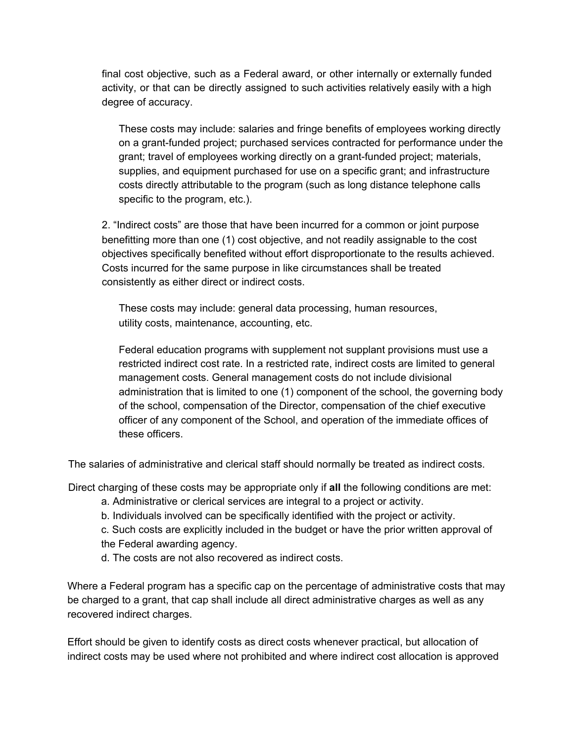final cost objective, such as a Federal award, or other internally or externally funded activity, or that can be directly assigned to such activities relatively easily with a high degree of accuracy.

These costs may include: salaries and fringe benefits of employees working directly on a grant-funded project; purchased services contracted for performance under the grant; travel of employees working directly on a grant-funded project; materials, supplies, and equipment purchased for use on a specific grant; and infrastructure costs directly attributable to the program (such as long distance telephone calls specific to the program, etc.).

2. "Indirect costs" are those that have been incurred for a common or joint purpose benefitting more than one (1) cost objective, and not readily assignable to the cost objectives specifically benefited without effort disproportionate to the results achieved. Costs incurred for the same purpose in like circumstances shall be treated consistently as either direct or indirect costs.

These costs may include: general data processing, human resources, utility costs, maintenance, accounting, etc.

Federal education programs with supplement not supplant provisions must use a restricted indirect cost rate. In a restricted rate, indirect costs are limited to general management costs. General management costs do not include divisional administration that is limited to one (1) component of the school, the governing body of the school, compensation of the Director, compensation of the chief executive officer of any component of the School, and operation of the immediate offices of these officers.

The salaries of administrative and clerical staff should normally be treated as indirect costs.

Direct charging of these costs may be appropriate only if **all** the following conditions are met:

- a. Administrative or clerical services are integral to a project or activity.
- b. Individuals involved can be specifically identified with the project or activity.

c. Such costs are explicitly included in the budget or have the prior written approval of the Federal awarding agency.

d. The costs are not also recovered as indirect costs.

Where a Federal program has a specific cap on the percentage of administrative costs that may be charged to a grant, that cap shall include all direct administrative charges as well as any recovered indirect charges.

Effort should be given to identify costs as direct costs whenever practical, but allocation of indirect costs may be used where not prohibited and where indirect cost allocation is approved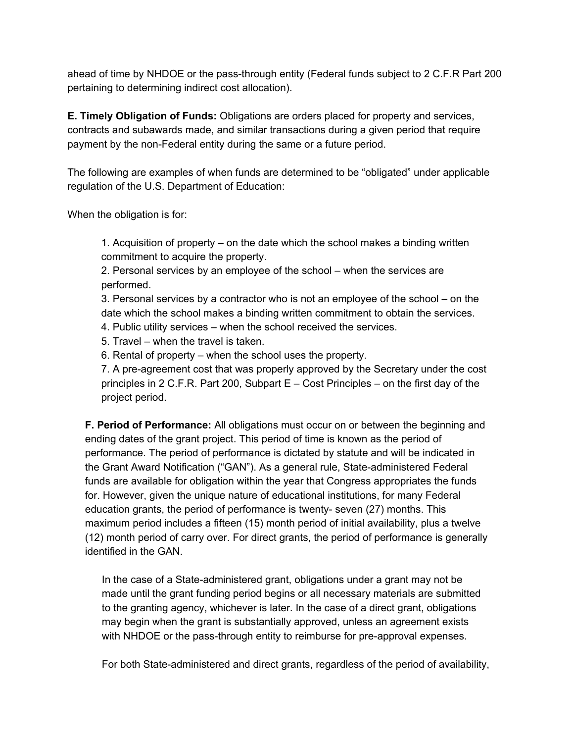ahead of time by NHDOE or the pass-through entity (Federal funds subject to 2 C.F.R Part 200 pertaining to determining indirect cost allocation).

**E. Timely Obligation of Funds:** Obligations are orders placed for property and services, contracts and subawards made, and similar transactions during a given period that require payment by the non-Federal entity during the same or a future period.

The following are examples of when funds are determined to be "obligated" under applicable regulation of the U.S. Department of Education:

When the obligation is for:

1. Acquisition of property – on the date which the school makes a binding written commitment to acquire the property.

2. Personal services by an employee of the school – when the services are performed.

3. Personal services by a contractor who is not an employee of the school – on the date which the school makes a binding written commitment to obtain the services.

4. Public utility services – when the school received the services.

5. Travel – when the travel is taken.

6. Rental of property – when the school uses the property.

7. A pre-agreement cost that was properly approved by the Secretary under the cost principles in 2 C.F.R. Part 200, Subpart E – Cost Principles – on the first day of the project period.

**F. Period of Performance:** All obligations must occur on or between the beginning and ending dates of the grant project. This period of time is known as the period of performance. The period of performance is dictated by statute and will be indicated in the Grant Award Notification ("GAN"). As a general rule, State-administered Federal funds are available for obligation within the year that Congress appropriates the funds for. However, given the unique nature of educational institutions, for many Federal education grants, the period of performance is twenty- seven (27) months. This maximum period includes a fifteen (15) month period of initial availability, plus a twelve (12) month period of carry over. For direct grants, the period of performance is generally identified in the GAN.

In the case of a State-administered grant, obligations under a grant may not be made until the grant funding period begins or all necessary materials are submitted to the granting agency, whichever is later. In the case of a direct grant, obligations may begin when the grant is substantially approved, unless an agreement exists with NHDOE or the pass-through entity to reimburse for pre-approval expenses.

For both State-administered and direct grants, regardless of the period of availability,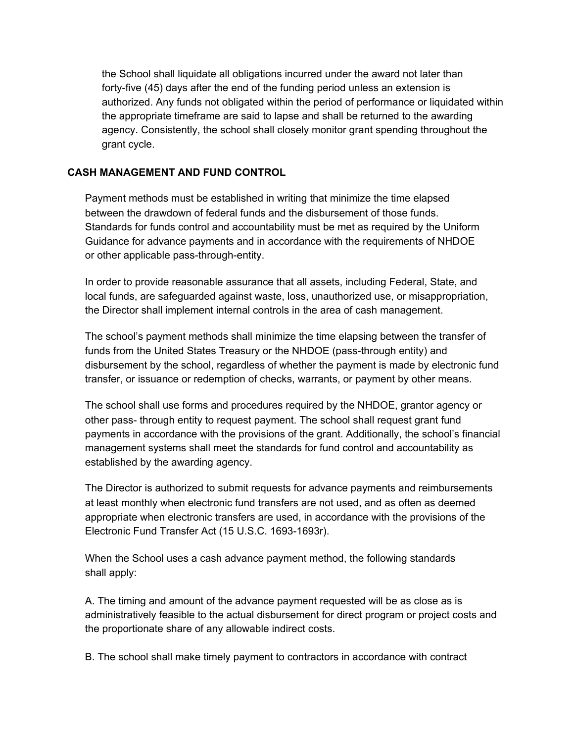the School shall liquidate all obligations incurred under the award not later than forty-five (45) days after the end of the funding period unless an extension is authorized. Any funds not obligated within the period of performance or liquidated within the appropriate timeframe are said to lapse and shall be returned to the awarding agency. Consistently, the school shall closely monitor grant spending throughout the grant cycle.

### **CASH MANAGEMENT AND FUND CONTROL**

Payment methods must be established in writing that minimize the time elapsed between the drawdown of federal funds and the disbursement of those funds. Standards for funds control and accountability must be met as required by the Uniform Guidance for advance payments and in accordance with the requirements of NHDOE or other applicable pass-through-entity.

In order to provide reasonable assurance that all assets, including Federal, State, and local funds, are safeguarded against waste, loss, unauthorized use, or misappropriation, the Director shall implement internal controls in the area of cash management.

The school's payment methods shall minimize the time elapsing between the transfer of funds from the United States Treasury or the NHDOE (pass-through entity) and disbursement by the school, regardless of whether the payment is made by electronic fund transfer, or issuance or redemption of checks, warrants, or payment by other means.

The school shall use forms and procedures required by the NHDOE, grantor agency or other pass- through entity to request payment. The school shall request grant fund payments in accordance with the provisions of the grant. Additionally, the school's financial management systems shall meet the standards for fund control and accountability as established by the awarding agency.

The Director is authorized to submit requests for advance payments and reimbursements at least monthly when electronic fund transfers are not used, and as often as deemed appropriate when electronic transfers are used, in accordance with the provisions of the Electronic Fund Transfer Act (15 U.S.C. 1693-1693r).

When the School uses a cash advance payment method, the following standards shall apply:

A. The timing and amount of the advance payment requested will be as close as is administratively feasible to the actual disbursement for direct program or project costs and the proportionate share of any allowable indirect costs.

B. The school shall make timely payment to contractors in accordance with contract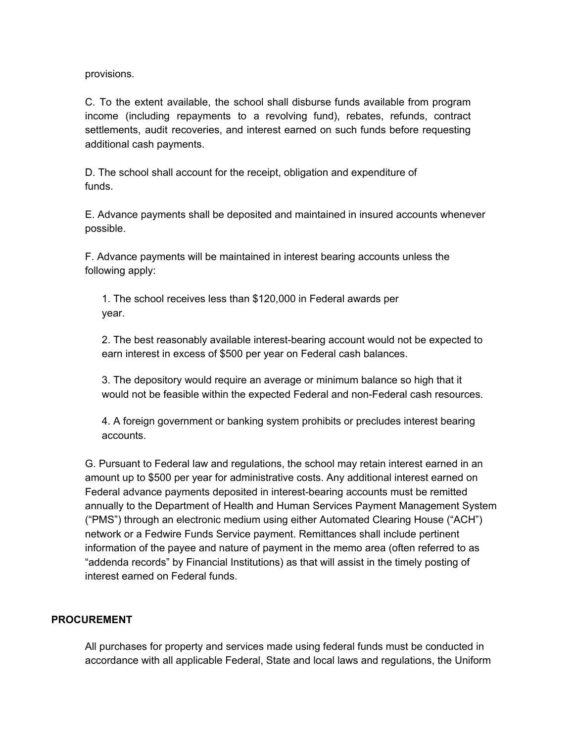provisions.

C. To the extent available, the school shall disburse funds available from program income (including repayments to a revolving fund), rebates, refunds, contract settlements, audit recoveries, and interest earned on such funds before requesting additional cash payments.

D. The school shall account for the receipt, obligation and expenditure of funds.

E. Advance payments shall be deposited and maintained in insured accounts whenever possible.

F. Advance payments will be maintained in interest bearing accounts unless the following apply:

1. The school receives less than \$120,000 in Federal awards per year.

2. The best reasonably available interest-bearing account would not be expected to earn interest in excess of \$500 per year on Federal cash balances.

3. The depository would require an average or minimum balance so high that it would not be feasible within the expected Federal and non-Federal cash resources.

4. A foreign government or banking system prohibits or precludes interest bearing accounts.

G. Pursuant to Federal law and regulations, the school may retain interest earned in an amount up to \$500 per year for administrative costs. Any additional interest earned on Federal advance payments deposited in interest-bearing accounts must be remitted annually to the Department of Health and Human Services Payment Management System ("PMS") through an electronic medium using either Automated Clearing House ("ACH") network or a Fedwire Funds Service payment. Remittances shall include pertinent information of the payee and nature of payment in the memo area (often referred to as "addenda records" by Financial Institutions) as that will assist in the timely posting of interest earned on Federal funds.

### **PROCUREMENT**

All purchases for property and services made using federal funds must be conducted in accordance with all applicable Federal, State and local laws and regulations, the Uniform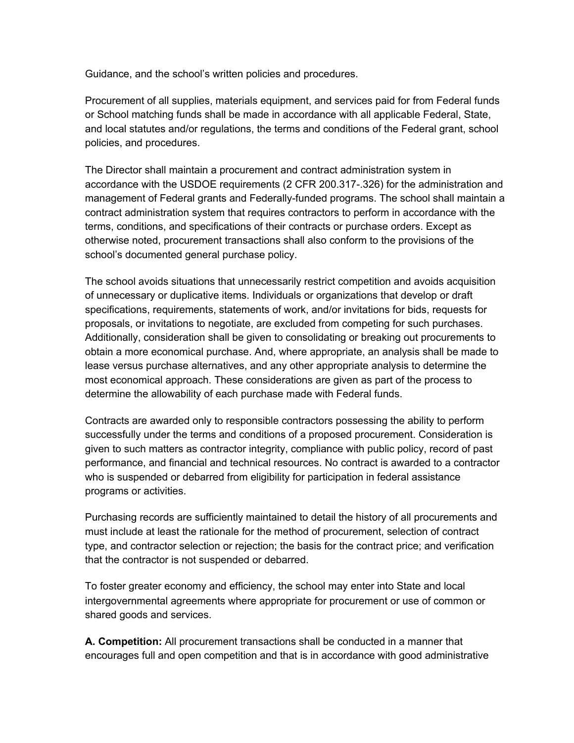Guidance, and the school's written policies and procedures.

Procurement of all supplies, materials equipment, and services paid for from Federal funds or School matching funds shall be made in accordance with all applicable Federal, State, and local statutes and/or regulations, the terms and conditions of the Federal grant, school policies, and procedures.

The Director shall maintain a procurement and contract administration system in accordance with the USDOE requirements (2 CFR 200.317-.326) for the administration and management of Federal grants and Federally-funded programs. The school shall maintain a contract administration system that requires contractors to perform in accordance with the terms, conditions, and specifications of their contracts or purchase orders. Except as otherwise noted, procurement transactions shall also conform to the provisions of the school's documented general purchase policy.

The school avoids situations that unnecessarily restrict competition and avoids acquisition of unnecessary or duplicative items. Individuals or organizations that develop or draft specifications, requirements, statements of work, and/or invitations for bids, requests for proposals, or invitations to negotiate, are excluded from competing for such purchases. Additionally, consideration shall be given to consolidating or breaking out procurements to obtain a more economical purchase. And, where appropriate, an analysis shall be made to lease versus purchase alternatives, and any other appropriate analysis to determine the most economical approach. These considerations are given as part of the process to determine the allowability of each purchase made with Federal funds.

Contracts are awarded only to responsible contractors possessing the ability to perform successfully under the terms and conditions of a proposed procurement. Consideration is given to such matters as contractor integrity, compliance with public policy, record of past performance, and financial and technical resources. No contract is awarded to a contractor who is suspended or debarred from eligibility for participation in federal assistance programs or activities.

Purchasing records are sufficiently maintained to detail the history of all procurements and must include at least the rationale for the method of procurement, selection of contract type, and contractor selection or rejection; the basis for the contract price; and verification that the contractor is not suspended or debarred.

To foster greater economy and efficiency, the school may enter into State and local intergovernmental agreements where appropriate for procurement or use of common or shared goods and services.

**A. Competition:** All procurement transactions shall be conducted in a manner that encourages full and open competition and that is in accordance with good administrative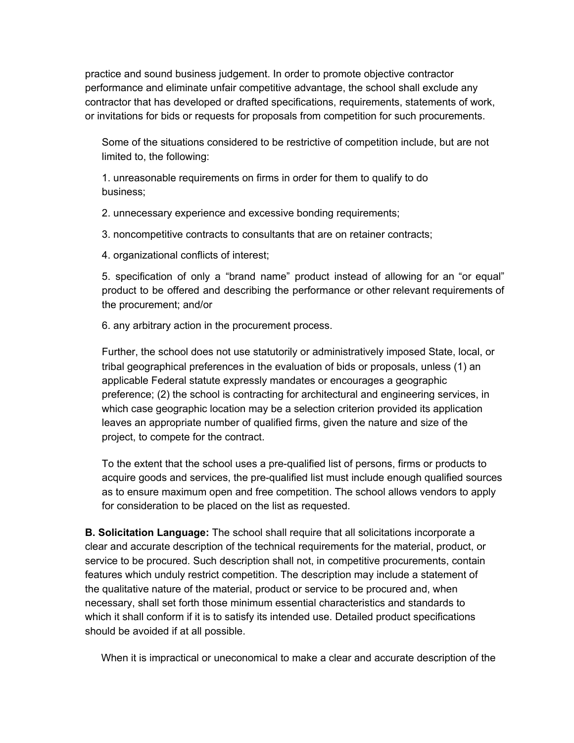practice and sound business judgement. In order to promote objective contractor performance and eliminate unfair competitive advantage, the school shall exclude any contractor that has developed or drafted specifications, requirements, statements of work, or invitations for bids or requests for proposals from competition for such procurements.

Some of the situations considered to be restrictive of competition include, but are not limited to, the following:

1. unreasonable requirements on firms in order for them to qualify to do business;

2. unnecessary experience and excessive bonding requirements;

3. noncompetitive contracts to consultants that are on retainer contracts;

4. organizational conflicts of interest;

5. specification of only a "brand name" product instead of allowing for an "or equal" product to be offered and describing the performance or other relevant requirements of the procurement; and/or

6. any arbitrary action in the procurement process.

Further, the school does not use statutorily or administratively imposed State, local, or tribal geographical preferences in the evaluation of bids or proposals, unless (1) an applicable Federal statute expressly mandates or encourages a geographic preference; (2) the school is contracting for architectural and engineering services, in which case geographic location may be a selection criterion provided its application leaves an appropriate number of qualified firms, given the nature and size of the project, to compete for the contract.

To the extent that the school uses a pre-qualified list of persons, firms or products to acquire goods and services, the pre-qualified list must include enough qualified sources as to ensure maximum open and free competition. The school allows vendors to apply for consideration to be placed on the list as requested.

**B. Solicitation Language:** The school shall require that all solicitations incorporate a clear and accurate description of the technical requirements for the material, product, or service to be procured. Such description shall not, in competitive procurements, contain features which unduly restrict competition. The description may include a statement of the qualitative nature of the material, product or service to be procured and, when necessary, shall set forth those minimum essential characteristics and standards to which it shall conform if it is to satisfy its intended use. Detailed product specifications should be avoided if at all possible.

When it is impractical or uneconomical to make a clear and accurate description of the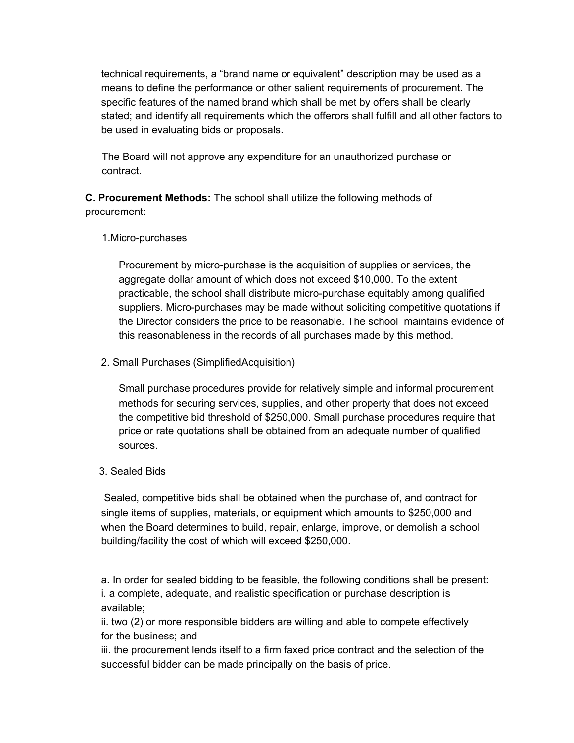technical requirements, a "brand name or equivalent" description may be used as a means to define the performance or other salient requirements of procurement. The specific features of the named brand which shall be met by offers shall be clearly stated; and identify all requirements which the offerors shall fulfill and all other factors to be used in evaluating bids or proposals.

The Board will not approve any expenditure for an unauthorized purchase or contract.

**C. Procurement Methods:** The school shall utilize the following methods of procurement:

### 1.Micro-purchases

Procurement by micro-purchase is the acquisition of supplies or services, the aggregate dollar amount of which does not exceed \$10,000. To the extent practicable, the school shall distribute micro-purchase equitably among qualified suppliers. Micro-purchases may be made without soliciting competitive quotations if the Director considers the price to be reasonable. The school maintains evidence of this reasonableness in the records of all purchases made by this method.

### 2. Small Purchases (SimplifiedAcquisition)

Small purchase procedures provide for relatively simple and informal procurement methods for securing services, supplies, and other property that does not exceed the competitive bid threshold of \$250,000. Small purchase procedures require that price or rate quotations shall be obtained from an adequate number of qualified sources.

### 3. Sealed Bids

Sealed, competitive bids shall be obtained when the purchase of, and contract for single items of supplies, materials, or equipment which amounts to \$250,000 and when the Board determines to build, repair, enlarge, improve, or demolish a school building/facility the cost of which will exceed \$250,000.

a. In order for sealed bidding to be feasible, the following conditions shall be present: i. a complete, adequate, and realistic specification or purchase description is available;

ii. two (2) or more responsible bidders are willing and able to compete effectively for the business; and

iii. the procurement lends itself to a firm faxed price contract and the selection of the successful bidder can be made principally on the basis of price.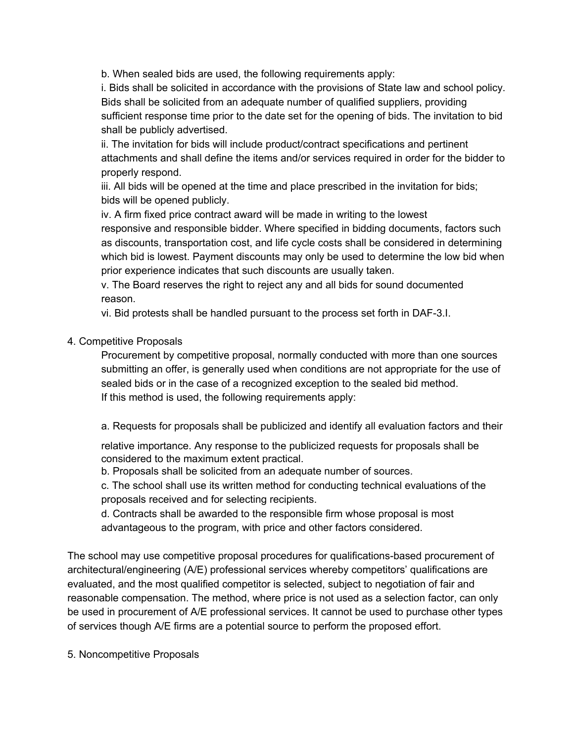b. When sealed bids are used, the following requirements apply:

i. Bids shall be solicited in accordance with the provisions of State law and school policy. Bids shall be solicited from an adequate number of qualified suppliers, providing sufficient response time prior to the date set for the opening of bids. The invitation to bid shall be publicly advertised.

ii. The invitation for bids will include product/contract specifications and pertinent attachments and shall define the items and/or services required in order for the bidder to properly respond.

iii. All bids will be opened at the time and place prescribed in the invitation for bids; bids will be opened publicly.

iv. A firm fixed price contract award will be made in writing to the lowest

responsive and responsible bidder. Where specified in bidding documents, factors such as discounts, transportation cost, and life cycle costs shall be considered in determining which bid is lowest. Payment discounts may only be used to determine the low bid when prior experience indicates that such discounts are usually taken.

v. The Board reserves the right to reject any and all bids for sound documented reason.

vi. Bid protests shall be handled pursuant to the process set forth in DAF-3.I.

### 4. Competitive Proposals

Procurement by competitive proposal, normally conducted with more than one sources submitting an offer, is generally used when conditions are not appropriate for the use of sealed bids or in the case of a recognized exception to the sealed bid method. If this method is used, the following requirements apply:

a. Requests for proposals shall be publicized and identify all evaluation factors and their

relative importance. Any response to the publicized requests for proposals shall be considered to the maximum extent practical.

b. Proposals shall be solicited from an adequate number of sources.

c. The school shall use its written method for conducting technical evaluations of the proposals received and for selecting recipients.

d. Contracts shall be awarded to the responsible firm whose proposal is most advantageous to the program, with price and other factors considered.

The school may use competitive proposal procedures for qualifications-based procurement of architectural/engineering (A/E) professional services whereby competitors' qualifications are evaluated, and the most qualified competitor is selected, subject to negotiation of fair and reasonable compensation. The method, where price is not used as a selection factor, can only be used in procurement of A/E professional services. It cannot be used to purchase other types of services though A/E firms are a potential source to perform the proposed effort.

5. Noncompetitive Proposals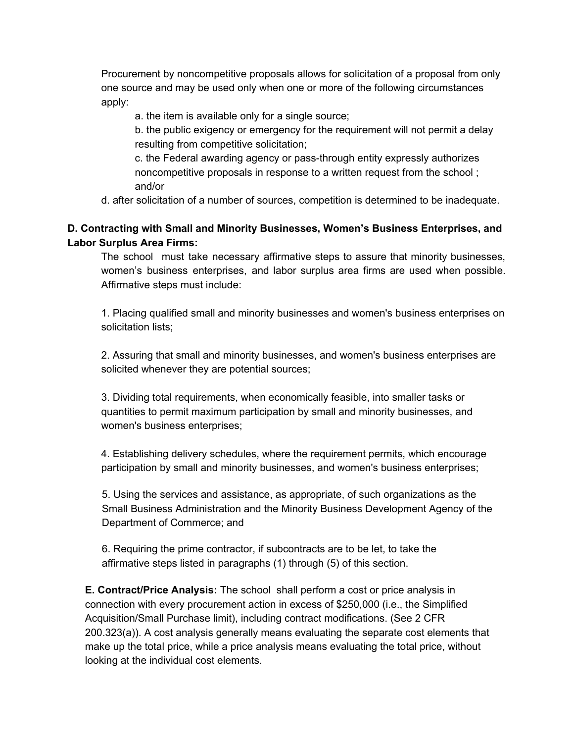Procurement by noncompetitive proposals allows for solicitation of a proposal from only one source and may be used only when one or more of the following circumstances apply:

a. the item is available only for a single source;

b. the public exigency or emergency for the requirement will not permit a delay resulting from competitive solicitation;

c. the Federal awarding agency or pass-through entity expressly authorizes noncompetitive proposals in response to a written request from the school ; and/or

d. after solicitation of a number of sources, competition is determined to be inadequate.

## **D. Contracting with Small and Minority Businesses, Women's Business Enterprises, and Labor Surplus Area Firms:**

The school must take necessary affirmative steps to assure that minority businesses, women's business enterprises, and labor surplus area firms are used when possible. Affirmative steps must include:

1. Placing qualified small and minority businesses and women's business enterprises on solicitation lists;

2. Assuring that small and minority businesses, and women's business enterprises are solicited whenever they are potential sources;

3. Dividing total requirements, when economically feasible, into smaller tasks or quantities to permit maximum participation by small and minority businesses, and women's business enterprises;

4. Establishing delivery schedules, where the requirement permits, which encourage participation by small and minority businesses, and women's business enterprises;

5. Using the services and assistance, as appropriate, of such organizations as the Small Business Administration and the Minority Business Development Agency of the Department of Commerce; and

6. Requiring the prime contractor, if subcontracts are to be let, to take the affirmative steps listed in paragraphs (1) through (5) of this section.

**E. Contract/Price Analysis:** The school shall perform a cost or price analysis in connection with every procurement action in excess of \$250,000 (i.e., the Simplified Acquisition/Small Purchase limit), including contract modifications. (See 2 CFR 200.323(a)). A cost analysis generally means evaluating the separate cost elements that make up the total price, while a price analysis means evaluating the total price, without looking at the individual cost elements.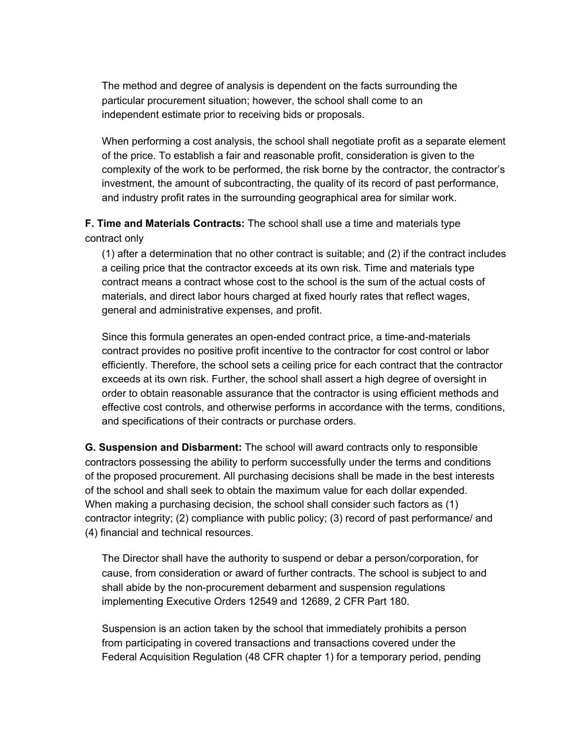The method and degree of analysis is dependent on the facts surrounding the particular procurement situation; however, the school shall come to an independent estimate prior to receiving bids or proposals.

When performing a cost analysis, the school shall negotiate profit as a separate element of the price. To establish a fair and reasonable profit, consideration is given to the complexity of the work to be performed, the risk borne by the contractor, the contractor's investment, the amount of subcontracting, the quality of its record of past performance, and industry profit rates in the surrounding geographical area for similar work.

**F. Time and Materials Contracts:** The school shall use a time and materials type contract only

(1) after a determination that no other contract is suitable; and (2) if the contract includes a ceiling price that the contractor exceeds at its own risk. Time and materials type contract means a contract whose cost to the school is the sum of the actual costs of materials, and direct labor hours charged at fixed hourly rates that reflect wages, general and administrative expenses, and profit.

Since this formula generates an open-ended contract price, a time-and-materials contract provides no positive profit incentive to the contractor for cost control or labor efficiently. Therefore, the school sets a ceiling price for each contract that the contractor exceeds at its own risk. Further, the school shall assert a high degree of oversight in order to obtain reasonable assurance that the contractor is using efficient methods and effective cost controls, and otherwise performs in accordance with the terms, conditions, and specifications of their contracts or purchase orders.

**G. Suspension and Disbarment:** The school will award contracts only to responsible contractors possessing the ability to perform successfully under the terms and conditions of the proposed procurement. All purchasing decisions shall be made in the best interests of the school and shall seek to obtain the maximum value for each dollar expended. When making a purchasing decision, the school shall consider such factors as (1) contractor integrity; (2) compliance with public policy; (3) record of past performance/ and (4) financial and technical resources.

The Director shall have the authority to suspend or debar a person/corporation, for cause, from consideration or award of further contracts. The school is subject to and shall abide by the non-procurement debarment and suspension regulations implementing Executive Orders 12549 and 12689, 2 CFR Part 180.

Suspension is an action taken by the school that immediately prohibits a person from participating in covered transactions and transactions covered under the Federal Acquisition Regulation (48 CFR chapter 1) for a temporary period, pending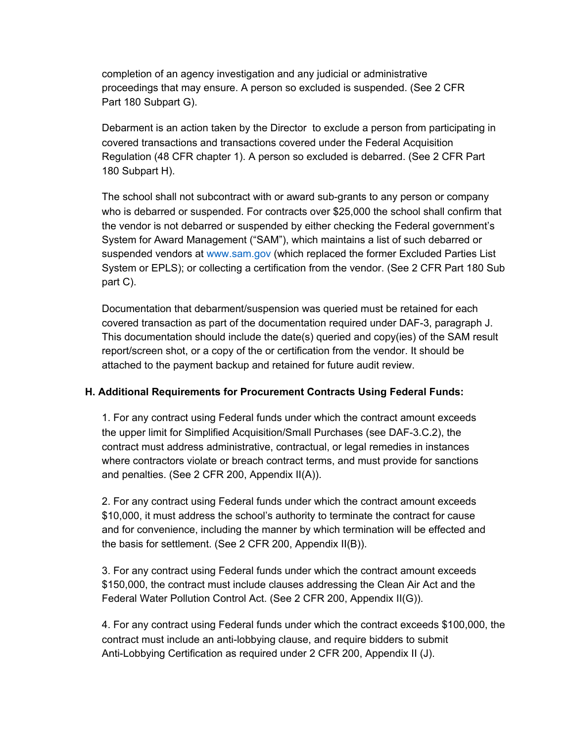completion of an agency investigation and any judicial or administrative proceedings that may ensure. A person so excluded is suspended. (See 2 CFR Part 180 Subpart G).

Debarment is an action taken by the Director to exclude a person from participating in covered transactions and transactions covered under the Federal Acquisition Regulation (48 CFR chapter 1). A person so excluded is debarred. (See 2 CFR Part 180 Subpart H).

The school shall not subcontract with or award sub-grants to any person or company who is debarred or suspended. For contracts over \$25,000 the school shall confirm that the vendor is not debarred or suspended by either checking the Federal government's System for Award Management ("SAM"), which maintains a list of such debarred or suspended vendors at www.sam.gov (which replaced the former Excluded Parties List System or EPLS); or collecting a certification from the vendor. (See 2 CFR Part 180 Sub part C).

Documentation that debarment/suspension was queried must be retained for each covered transaction as part of the documentation required under DAF-3, paragraph J. This documentation should include the date(s) queried and copy(ies) of the SAM result report/screen shot, or a copy of the or certification from the vendor. It should be attached to the payment backup and retained for future audit review.

### **H. Additional Requirements for Procurement Contracts Using Federal Funds:**

1. For any contract using Federal funds under which the contract amount exceeds the upper limit for Simplified Acquisition/Small Purchases (see DAF-3.C.2), the contract must address administrative, contractual, or legal remedies in instances where contractors violate or breach contract terms, and must provide for sanctions and penalties. (See 2 CFR 200, Appendix II(A)).

2. For any contract using Federal funds under which the contract amount exceeds \$10,000, it must address the school's authority to terminate the contract for cause and for convenience, including the manner by which termination will be effected and the basis for settlement. (See 2 CFR 200, Appendix II(B)).

3. For any contract using Federal funds under which the contract amount exceeds \$150,000, the contract must include clauses addressing the Clean Air Act and the Federal Water Pollution Control Act. (See 2 CFR 200, Appendix II(G)).

4. For any contract using Federal funds under which the contract exceeds \$100,000, the contract must include an anti-lobbying clause, and require bidders to submit Anti-Lobbying Certification as required under 2 CFR 200, Appendix II (J).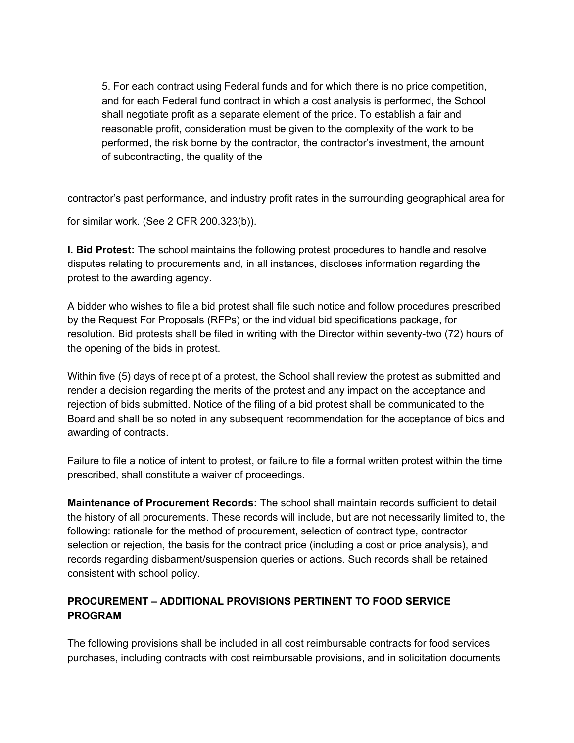5. For each contract using Federal funds and for which there is no price competition, and for each Federal fund contract in which a cost analysis is performed, the School shall negotiate profit as a separate element of the price. To establish a fair and reasonable profit, consideration must be given to the complexity of the work to be performed, the risk borne by the contractor, the contractor's investment, the amount of subcontracting, the quality of the

contractor's past performance, and industry profit rates in the surrounding geographical area for

for similar work. (See 2 CFR 200.323(b)).

**I. Bid Protest:** The school maintains the following protest procedures to handle and resolve disputes relating to procurements and, in all instances, discloses information regarding the protest to the awarding agency.

A bidder who wishes to file a bid protest shall file such notice and follow procedures prescribed by the Request For Proposals (RFPs) or the individual bid specifications package, for resolution. Bid protests shall be filed in writing with the Director within seventy-two (72) hours of the opening of the bids in protest.

Within five (5) days of receipt of a protest, the School shall review the protest as submitted and render a decision regarding the merits of the protest and any impact on the acceptance and rejection of bids submitted. Notice of the filing of a bid protest shall be communicated to the Board and shall be so noted in any subsequent recommendation for the acceptance of bids and awarding of contracts.

Failure to file a notice of intent to protest, or failure to file a formal written protest within the time prescribed, shall constitute a waiver of proceedings.

**Maintenance of Procurement Records:** The school shall maintain records sufficient to detail the history of all procurements. These records will include, but are not necessarily limited to, the following: rationale for the method of procurement, selection of contract type, contractor selection or rejection, the basis for the contract price (including a cost or price analysis), and records regarding disbarment/suspension queries or actions. Such records shall be retained consistent with school policy.

### **PROCUREMENT – ADDITIONAL PROVISIONS PERTINENT TO FOOD SERVICE PROGRAM**

The following provisions shall be included in all cost reimbursable contracts for food services purchases, including contracts with cost reimbursable provisions, and in solicitation documents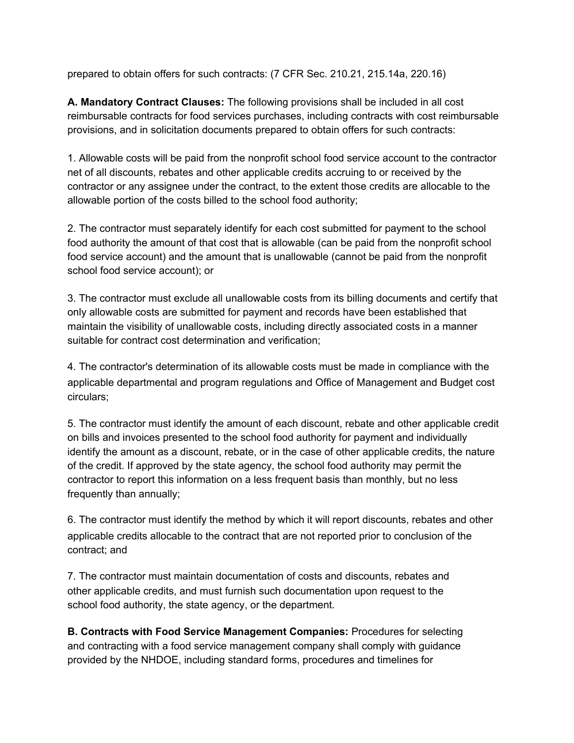prepared to obtain offers for such contracts: (7 CFR Sec. 210.21, 215.14a, 220.16)

**A. Mandatory Contract Clauses:** The following provisions shall be included in all cost reimbursable contracts for food services purchases, including contracts with cost reimbursable provisions, and in solicitation documents prepared to obtain offers for such contracts:

1. Allowable costs will be paid from the nonprofit school food service account to the contractor net of all discounts, rebates and other applicable credits accruing to or received by the contractor or any assignee under the contract, to the extent those credits are allocable to the allowable portion of the costs billed to the school food authority;

2. The contractor must separately identify for each cost submitted for payment to the school food authority the amount of that cost that is allowable (can be paid from the nonprofit school food service account) and the amount that is unallowable (cannot be paid from the nonprofit school food service account); or

3. The contractor must exclude all unallowable costs from its billing documents and certify that only allowable costs are submitted for payment and records have been established that maintain the visibility of unallowable costs, including directly associated costs in a manner suitable for contract cost determination and verification;

4. The contractor's determination of its allowable costs must be made in compliance with the applicable departmental and program regulations and Office of Management and Budget cost circulars;

5. The contractor must identify the amount of each discount, rebate and other applicable credit on bills and invoices presented to the school food authority for payment and individually identify the amount as a discount, rebate, or in the case of other applicable credits, the nature of the credit. If approved by the state agency, the school food authority may permit the contractor to report this information on a less frequent basis than monthly, but no less frequently than annually;

6. The contractor must identify the method by which it will report discounts, rebates and other applicable credits allocable to the contract that are not reported prior to conclusion of the contract; and

7. The contractor must maintain documentation of costs and discounts, rebates and other applicable credits, and must furnish such documentation upon request to the school food authority, the state agency, or the department.

**B. Contracts with Food Service Management Companies:** Procedures for selecting and contracting with a food service management company shall comply with guidance provided by the NHDOE, including standard forms, procedures and timelines for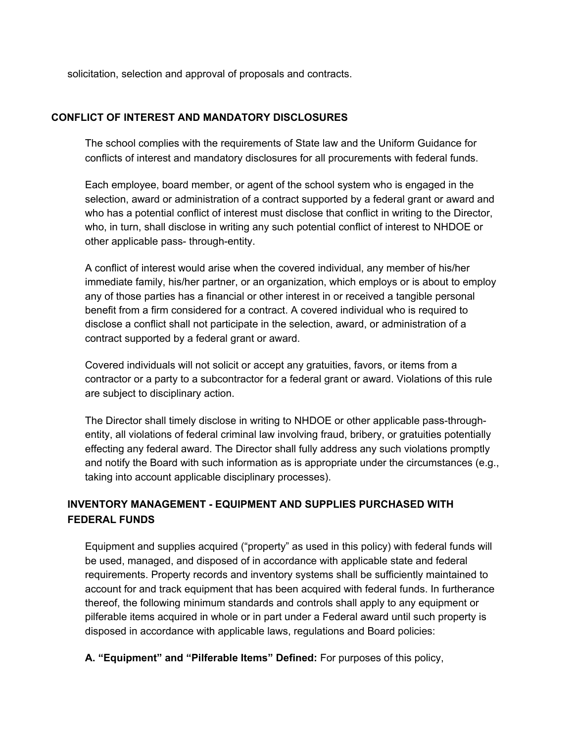solicitation, selection and approval of proposals and contracts.

### **CONFLICT OF INTEREST AND MANDATORY DISCLOSURES**

The school complies with the requirements of State law and the Uniform Guidance for conflicts of interest and mandatory disclosures for all procurements with federal funds.

Each employee, board member, or agent of the school system who is engaged in the selection, award or administration of a contract supported by a federal grant or award and who has a potential conflict of interest must disclose that conflict in writing to the Director, who, in turn, shall disclose in writing any such potential conflict of interest to NHDOE or other applicable pass- through-entity.

A conflict of interest would arise when the covered individual, any member of his/her immediate family, his/her partner, or an organization, which employs or is about to employ any of those parties has a financial or other interest in or received a tangible personal benefit from a firm considered for a contract. A covered individual who is required to disclose a conflict shall not participate in the selection, award, or administration of a contract supported by a federal grant or award.

Covered individuals will not solicit or accept any gratuities, favors, or items from a contractor or a party to a subcontractor for a federal grant or award. Violations of this rule are subject to disciplinary action.

The Director shall timely disclose in writing to NHDOE or other applicable pass-throughentity, all violations of federal criminal law involving fraud, bribery, or gratuities potentially effecting any federal award. The Director shall fully address any such violations promptly and notify the Board with such information as is appropriate under the circumstances (e.g., taking into account applicable disciplinary processes).

# **INVENTORY MANAGEMENT - EQUIPMENT AND SUPPLIES PURCHASED WITH FEDERAL FUNDS**

Equipment and supplies acquired ("property" as used in this policy) with federal funds will be used, managed, and disposed of in accordance with applicable state and federal requirements. Property records and inventory systems shall be sufficiently maintained to account for and track equipment that has been acquired with federal funds. In furtherance thereof, the following minimum standards and controls shall apply to any equipment or pilferable items acquired in whole or in part under a Federal award until such property is disposed in accordance with applicable laws, regulations and Board policies:

**A. "Equipment" and "Pilferable Items" Defined:** For purposes of this policy,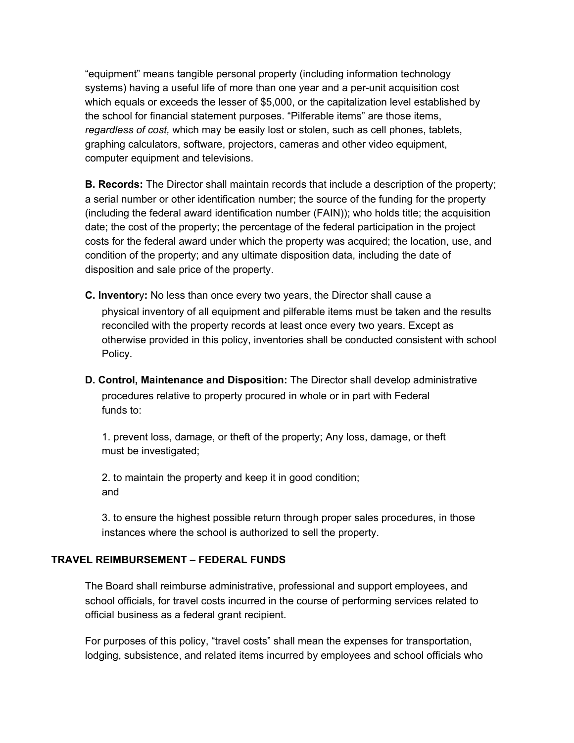"equipment" means tangible personal property (including information technology systems) having a useful life of more than one year and a per-unit acquisition cost which equals or exceeds the lesser of \$5,000, or the capitalization level established by the school for financial statement purposes. "Pilferable items" are those items, *regardless of cost,* which may be easily lost or stolen, such as cell phones, tablets, graphing calculators, software, projectors, cameras and other video equipment, computer equipment and televisions.

**B. Records:** The Director shall maintain records that include a description of the property; a serial number or other identification number; the source of the funding for the property (including the federal award identification number (FAIN)); who holds title; the acquisition date; the cost of the property; the percentage of the federal participation in the project costs for the federal award under which the property was acquired; the location, use, and condition of the property; and any ultimate disposition data, including the date of disposition and sale price of the property.

- **C. Inventor**y**:** No less than once every two years, the Director shall cause a physical inventory of all equipment and pilferable items must be taken and the results reconciled with the property records at least once every two years. Except as otherwise provided in this policy, inventories shall be conducted consistent with school Policy.
- **D. Control, Maintenance and Disposition:** The Director shall develop administrative procedures relative to property procured in whole or in part with Federal funds to:

1. prevent loss, damage, or theft of the property; Any loss, damage, or theft must be investigated;

2. to maintain the property and keep it in good condition; and

3. to ensure the highest possible return through proper sales procedures, in those instances where the school is authorized to sell the property.

### **TRAVEL REIMBURSEMENT – FEDERAL FUNDS**

The Board shall reimburse administrative, professional and support employees, and school officials, for travel costs incurred in the course of performing services related to official business as a federal grant recipient.

For purposes of this policy, "travel costs" shall mean the expenses for transportation, lodging, subsistence, and related items incurred by employees and school officials who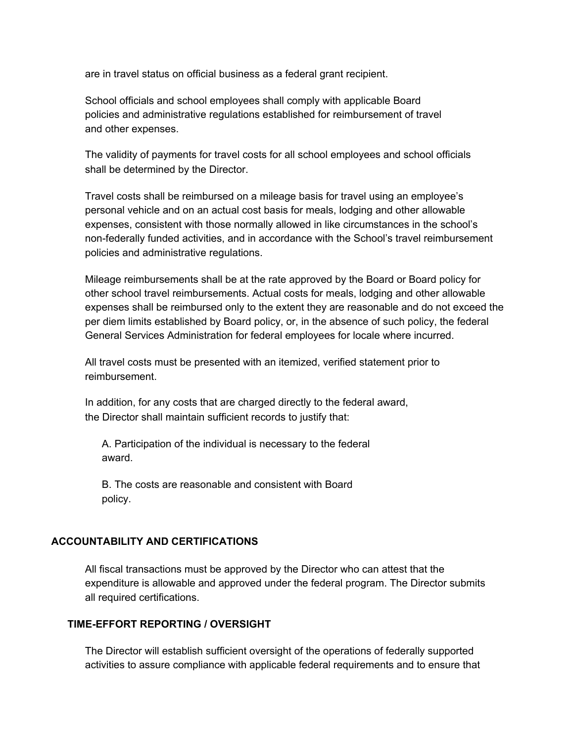are in travel status on official business as a federal grant recipient.

School officials and school employees shall comply with applicable Board policies and administrative regulations established for reimbursement of travel and other expenses.

The validity of payments for travel costs for all school employees and school officials shall be determined by the Director.

Travel costs shall be reimbursed on a mileage basis for travel using an employee's personal vehicle and on an actual cost basis for meals, lodging and other allowable expenses, consistent with those normally allowed in like circumstances in the school's non-federally funded activities, and in accordance with the School's travel reimbursement policies and administrative regulations.

Mileage reimbursements shall be at the rate approved by the Board or Board policy for other school travel reimbursements. Actual costs for meals, lodging and other allowable expenses shall be reimbursed only to the extent they are reasonable and do not exceed the per diem limits established by Board policy, or, in the absence of such policy, the federal General Services Administration for federal employees for locale where incurred.

All travel costs must be presented with an itemized, verified statement prior to reimbursement.

In addition, for any costs that are charged directly to the federal award, the Director shall maintain sufficient records to justify that:

A. Participation of the individual is necessary to the federal award.

B. The costs are reasonable and consistent with Board policy.

### **ACCOUNTABILITY AND CERTIFICATIONS**

All fiscal transactions must be approved by the Director who can attest that the expenditure is allowable and approved under the federal program. The Director submits all required certifications.

### **TIME-EFFORT REPORTING / OVERSIGHT**

The Director will establish sufficient oversight of the operations of federally supported activities to assure compliance with applicable federal requirements and to ensure that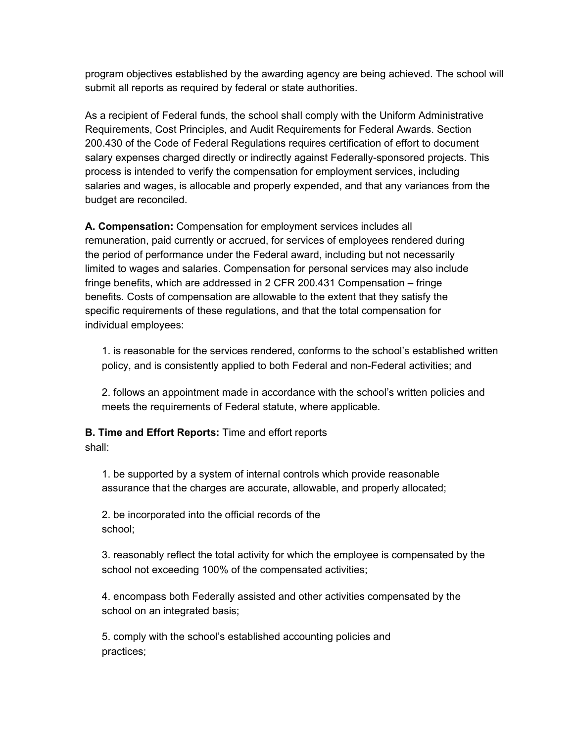program objectives established by the awarding agency are being achieved. The school will submit all reports as required by federal or state authorities.

As a recipient of Federal funds, the school shall comply with the Uniform Administrative Requirements, Cost Principles, and Audit Requirements for Federal Awards. Section 200.430 of the Code of Federal Regulations requires certification of effort to document salary expenses charged directly or indirectly against Federally-sponsored projects. This process is intended to verify the compensation for employment services, including salaries and wages, is allocable and properly expended, and that any variances from the budget are reconciled.

**A. Compensation:** Compensation for employment services includes all remuneration, paid currently or accrued, for services of employees rendered during the period of performance under the Federal award, including but not necessarily limited to wages and salaries. Compensation for personal services may also include fringe benefits, which are addressed in 2 CFR 200.431 Compensation – fringe benefits. Costs of compensation are allowable to the extent that they satisfy the specific requirements of these regulations, and that the total compensation for individual employees:

1. is reasonable for the services rendered, conforms to the school's established written policy, and is consistently applied to both Federal and non-Federal activities; and

2. follows an appointment made in accordance with the school's written policies and meets the requirements of Federal statute, where applicable.

# **B. Time and Effort Reports:** Time and effort reports

### shall:

1. be supported by a system of internal controls which provide reasonable assurance that the charges are accurate, allowable, and properly allocated;

2. be incorporated into the official records of the school;

3. reasonably reflect the total activity for which the employee is compensated by the school not exceeding 100% of the compensated activities;

4. encompass both Federally assisted and other activities compensated by the school on an integrated basis;

5. comply with the school's established accounting policies and practices;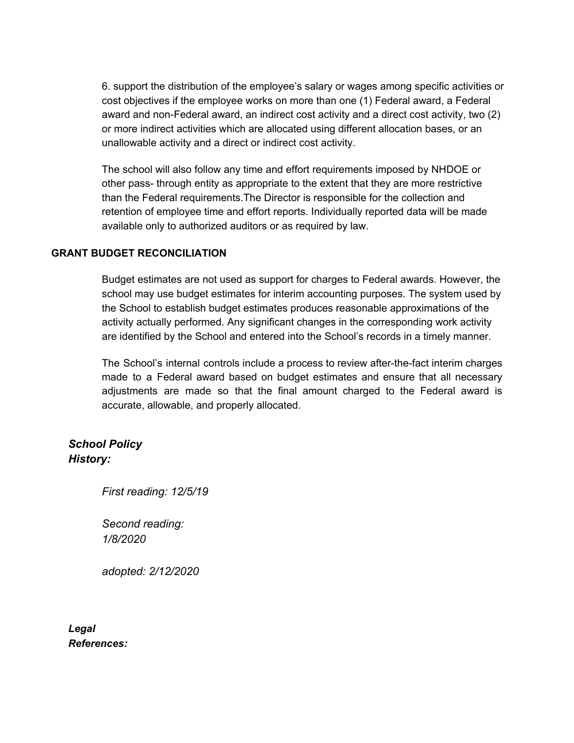6. support the distribution of the employee's salary or wages among specific activities or cost objectives if the employee works on more than one (1) Federal award, a Federal award and non-Federal award, an indirect cost activity and a direct cost activity, two (2) or more indirect activities which are allocated using different allocation bases, or an unallowable activity and a direct or indirect cost activity.

The school will also follow any time and effort requirements imposed by NHDOE or other pass- through entity as appropriate to the extent that they are more restrictive than the Federal requirements.The Director is responsible for the collection and retention of employee time and effort reports. Individually reported data will be made available only to authorized auditors or as required by law.

### **GRANT BUDGET RECONCILIATION**

Budget estimates are not used as support for charges to Federal awards. However, the school may use budget estimates for interim accounting purposes. The system used by the School to establish budget estimates produces reasonable approximations of the activity actually performed. Any significant changes in the corresponding work activity are identified by the School and entered into the School's records in a timely manner.

The School's internal controls include a process to review after-the-fact interim charges made to a Federal award based on budget estimates and ensure that all necessary adjustments are made so that the final amount charged to the Federal award is accurate, allowable, and properly allocated.

# *School Policy History:*

*First reading: 12/5/19*

*Second reading: 1/8/2020*

*adopted: 2/12/2020*

*Legal References:*